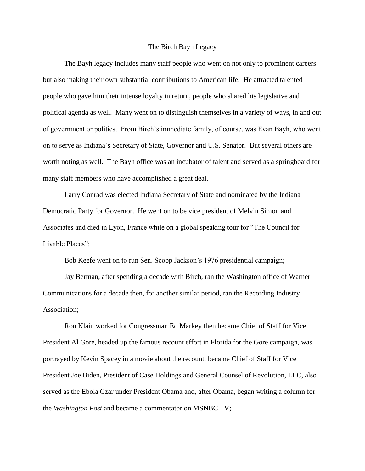## The Birch Bayh Legacy

The Bayh legacy includes many staff people who went on not only to prominent careers but also making their own substantial contributions to American life. He attracted talented people who gave him their intense loyalty in return, people who shared his legislative and political agenda as well. Many went on to distinguish themselves in a variety of ways, in and out of government or politics. From Birch's immediate family, of course, was Evan Bayh, who went on to serve as Indiana's Secretary of State, Governor and U.S. Senator. But several others are worth noting as well. The Bayh office was an incubator of talent and served as a springboard for many staff members who have accomplished a great deal.

Larry Conrad was elected Indiana Secretary of State and nominated by the Indiana Democratic Party for Governor. He went on to be vice president of Melvin Simon and Associates and died in Lyon, France while on a global speaking tour for "The Council for Livable Places";

Bob Keefe went on to run Sen. Scoop Jackson's 1976 presidential campaign;

Jay Berman, after spending a decade with Birch, ran the Washington office of Warner Communications for a decade then, for another similar period, ran the Recording Industry Association;

Ron Klain worked for Congressman Ed Markey then became Chief of Staff for Vice President Al Gore, headed up the famous recount effort in Florida for the Gore campaign, was portrayed by Kevin Spacey in a movie about the recount, became Chief of Staff for Vice President Joe Biden, President of Case Holdings and General Counsel of Revolution, LLC, also served as the Ebola Czar under President Obama and, after Obama, began writing a column for the *Washington Post* and became a commentator on MSNBC TV;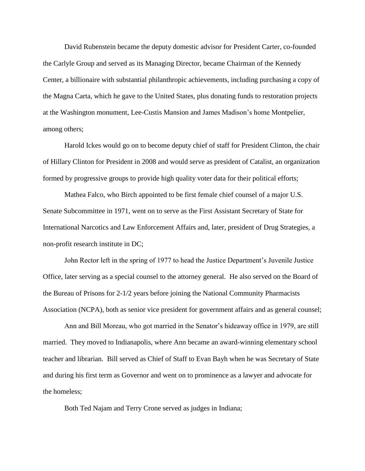David Rubenstein became the deputy domestic advisor for President Carter, co-founded the Carlyle Group and served as its Managing Director, became Chairman of the Kennedy Center, a billionaire with substantial philanthropic achievements, including purchasing a copy of the Magna Carta, which he gave to the United States, plus donating funds to restoration projects at the Washington monument, Lee-Custis Mansion and James Madison's home Montpelier, among others;

Harold Ickes would go on to become deputy chief of staff for President Clinton, the chair of Hillary Clinton for President in 2008 and would serve as president of Catalist, an organization formed by progressive groups to provide high quality voter data for their political efforts;

Mathea Falco, who Birch appointed to be first female chief counsel of a major U.S. Senate Subcommittee in 1971, went on to serve as the First Assistant Secretary of State for International Narcotics and Law Enforcement Affairs and, later, president of Drug Strategies, a non-profit research institute in DC;

John Rector left in the spring of 1977 to head the Justice Department's Juvenile Justice Office, later serving as a special counsel to the attorney general. He also served on the Board of the Bureau of Prisons for 2-1/2 years before joining the National Community Pharmacists Association (NCPA), both as senior vice president for government affairs and as general counsel;

Ann and Bill Moreau, who got married in the Senator's hideaway office in 1979, are still married. They moved to Indianapolis, where Ann became an award-winning elementary school teacher and librarian. Bill served as Chief of Staff to Evan Bayh when he was Secretary of State and during his first term as Governor and went on to prominence as a lawyer and advocate for the homeless;

Both Ted Najam and Terry Crone served as judges in Indiana;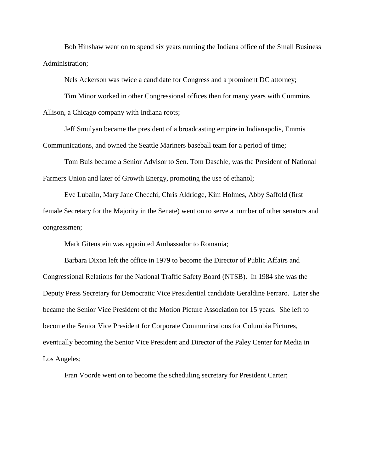Bob Hinshaw went on to spend six years running the Indiana office of the Small Business Administration;

Nels Ackerson was twice a candidate for Congress and a prominent DC attorney;

Tim Minor worked in other Congressional offices then for many years with Cummins Allison, a Chicago company with Indiana roots;

Jeff Smulyan became the president of a broadcasting empire in Indianapolis, Emmis Communications, and owned the Seattle Mariners baseball team for a period of time;

Tom Buis became a Senior Advisor to Sen. Tom Daschle, was the President of National Farmers Union and later of Growth Energy, promoting the use of ethanol;

Eve Lubalin, Mary Jane Checchi, Chris Aldridge, Kim Holmes, Abby Saffold (first female Secretary for the Majority in the Senate) went on to serve a number of other senators and congressmen;

Mark Gitenstein was appointed Ambassador to Romania;

Barbara Dixon left the office in 1979 to become the Director of Public Affairs and Congressional Relations for the National Traffic Safety Board (NTSB). In 1984 she was the Deputy Press Secretary for Democratic Vice Presidential candidate Geraldine Ferraro. Later she became the Senior Vice President of the Motion Picture Association for 15 years. She left to become the Senior Vice President for Corporate Communications for Columbia Pictures, eventually becoming the Senior Vice President and Director of the Paley Center for Media in Los Angeles;

Fran Voorde went on to become the scheduling secretary for President Carter;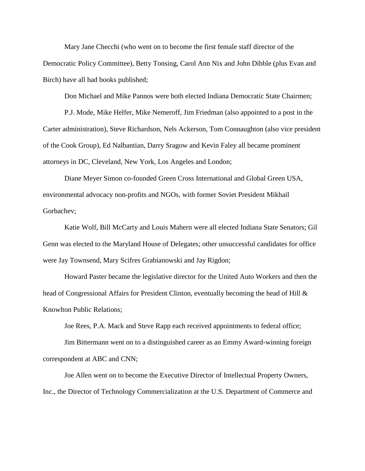Mary Jane Checchi (who went on to become the first female staff director of the Democratic Policy Committee), Betty Tonsing, Carol Ann Nix and John Dibble (plus Evan and Birch) have all had books published;

Don Michael and Mike Pannos were both elected Indiana Democratic State Chairmen;

P.J. Mode, Mike Helfer, Mike Nemeroff, Jim Friedman (also appointed to a post in the Carter administration), Steve Richardson, Nels Ackerson, Tom Connaughton (also vice president of the Cook Group), Ed Nalbantian, Darry Sragow and Kevin Faley all became prominent attorneys in DC, Cleveland, New York, Los Angeles and London;

Diane Meyer Simon co-founded Green Cross International and Global Green USA, environmental advocacy non-profits and NGOs, with former Soviet President Mikhail Gorbachev;

Katie Wolf, Bill McCarty and Louis Mahern were all elected Indiana State Senators; Gil Genn was elected to the Maryland House of Delegates; other unsuccessful candidates for office were Jay Townsend, Mary Scifres Grabianowski and Jay Rigdon;

Howard Paster became the legislative director for the United Auto Workers and then the head of Congressional Affairs for President Clinton, eventually becoming the head of Hill & Knowlton Public Relations;

Joe Rees, P.A. Mack and Steve Rapp each received appointments to federal office;

Jim Bittermann went on to a distinguished career as an Emmy Award-winning foreign correspondent at ABC and CNN;

Joe Allen went on to become the Executive Director of Intellectual Property Owners, Inc., the Director of Technology Commercialization at the U.S. Department of Commerce and